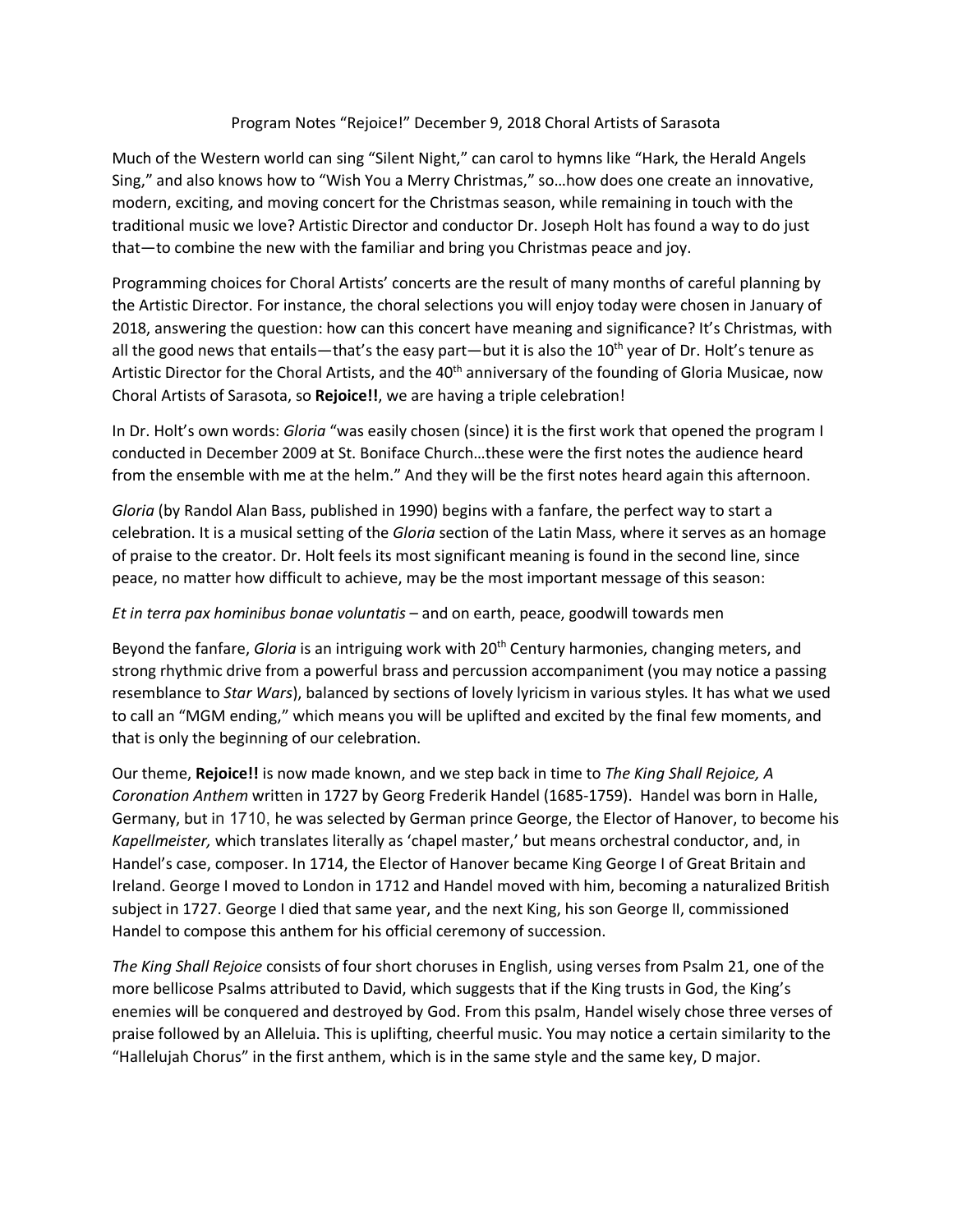## Program Notes "Rejoice!" December 9, 2018 Choral Artists of Sarasota

Much of the Western world can sing "Silent Night," can carol to hymns like "Hark, the Herald Angels Sing," and also knows how to "Wish You a Merry Christmas," so…how does one create an innovative, modern, exciting, and moving concert for the Christmas season, while remaining in touch with the traditional music we love? Artistic Director and conductor Dr. Joseph Holt has found a way to do just that—to combine the new with the familiar and bring you Christmas peace and joy.

Programming choices for Choral Artists' concerts are the result of many months of careful planning by the Artistic Director. For instance, the choral selections you will enjoy today were chosen in January of 2018, answering the question: how can this concert have meaning and significance? It's Christmas, with all the good news that entails—that's the easy part—but it is also the 10<sup>th</sup> year of Dr. Holt's tenure as Artistic Director for the Choral Artists, and the 40<sup>th</sup> anniversary of the founding of Gloria Musicae, now Choral Artists of Sarasota, so **Rejoice!!**, we are having a triple celebration!

In Dr. Holt's own words: *Gloria* "was easily chosen (since) it is the first work that opened the program I conducted in December 2009 at St. Boniface Church…these were the first notes the audience heard from the ensemble with me at the helm." And they will be the first notes heard again this afternoon.

*Gloria* (by Randol Alan Bass, published in 1990) begins with a fanfare, the perfect way to start a celebration. It is a musical setting of the *Gloria* section of the Latin Mass, where it serves as an homage of praise to the creator. Dr. Holt feels its most significant meaning is found in the second line, since peace, no matter how difficult to achieve, may be the most important message of this season:

## *Et in terra pax hominibus bonae voluntatis* – and on earth, peace, goodwill towards men

Beyond the fanfare, *Gloria* is an intriguing work with 20th Century harmonies, changing meters, and strong rhythmic drive from a powerful brass and percussion accompaniment (you may notice a passing resemblance to *Star Wars*), balanced by sections of lovely lyricism in various styles. It has what we used to call an "MGM ending," which means you will be uplifted and excited by the final few moments, and that is only the beginning of our celebration.

Our theme, **Rejoice!!** is now made known, and we step back in time to *The King Shall Rejoice, A Coronation Anthem* written in 1727 by Georg Frederik Handel (1685-1759). Handel was born in Halle, Germany, but in 1710, he was selected by German prince George, the Elector of Hanover, to become his *Kapellmeister,* which translates literally as 'chapel master,' but means orchestral conductor, and, in Handel's case, composer. In 1714, the Elector of Hanover became King George I of Great Britain and Ireland. George I moved to London in 1712 and Handel moved with him, becoming a naturalized British subject in 1727. George I died that same year, and the next King, his son George II, commissioned Handel to compose this anthem for his official ceremony of succession.

*The King Shall Rejoice* consists of four short choruses in English, using verses from Psalm 21, one of the more bellicose Psalms attributed to David, which suggests that if the King trusts in God, the King's enemies will be conquered and destroyed by God. From this psalm, Handel wisely chose three verses of praise followed by an Alleluia. This is uplifting, cheerful music. You may notice a certain similarity to the "Hallelujah Chorus" in the first anthem, which is in the same style and the same key, D major.